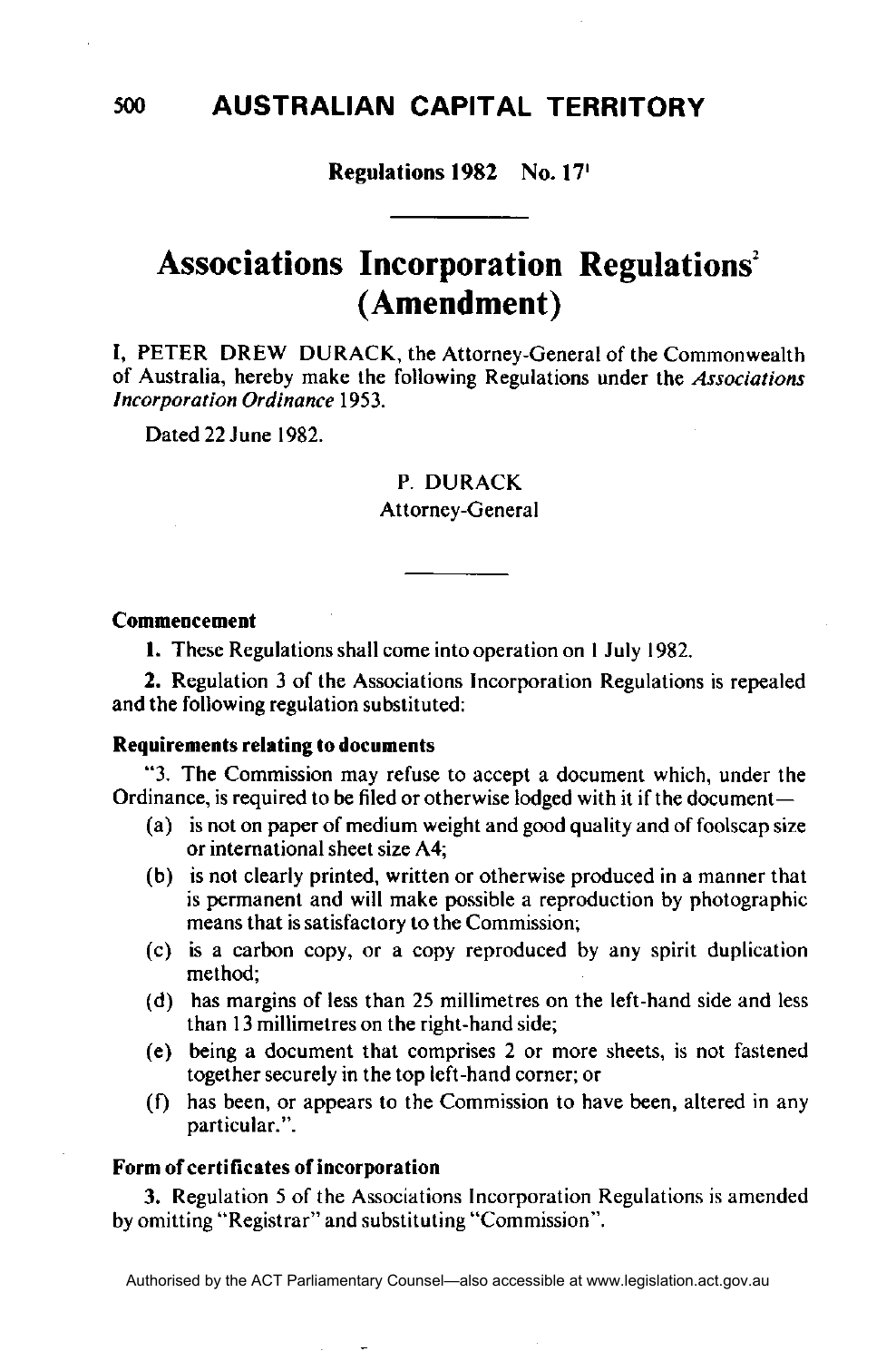# Regulations 1982 No. 17<sup>1</sup>

# **Associations Incorporation Regulations<sup>2</sup> (Amendment)**

I, PETER DREW DURACK, the Attorney-General of the Commonwealth of Australia, hereby make the following Regulations under the *Associations Incorporation Ordinance* 1953.

Dated 22 June 1982.

## P. DURACK

### Attorney-General

#### **Commencement**

**1.** These Regulations shall come into operation on 1 July 1982.

2. Regulation 3 of the Associations Incorporation Regulations is repealed and the following regulation substituted:

### **Requirements relating to documents**

"3. The Commission may refuse to accept a document which, under the Ordinance, is required to be filed or otherwise lodged with it if the document—

- (a) is not on paper of medium weight and good quality and of foolscap size or international sheet size A4;
- (b) is not clearly printed, written or otherwise produced in a manner that is permanent and will make possible a reproduction by photographic means that is satisfactory to the Commission;
- (c) is a carbon copy, or a copy reproduced by any spirit duplication method;
- (d) has margins of less than 25 millimetres on the left-hand side and less than 13 millimetres on the right-hand side;
- (e) being a document that comprises 2 or more sheets, is not fastened together securely in the top left-hand corner; or
- (f) has been, or appears to the Commission to have been, altered in any particular.".

#### **Form of certificates of incorporation**

**3.** Regulation 5 of the Associations Incorporation Regulations is amended by omitting "Registrar" and substituting "Commission".

500